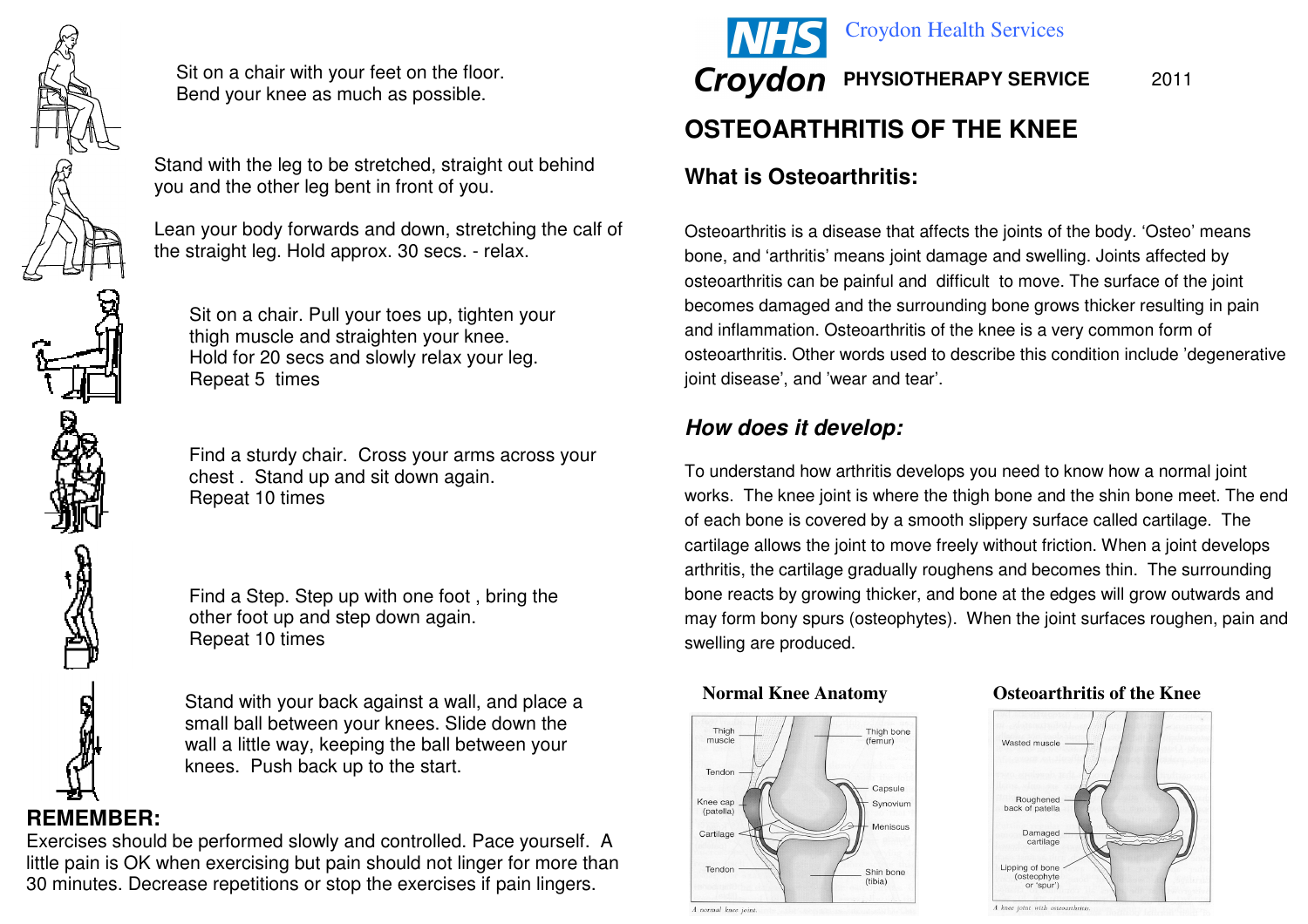

Sit on a chair with your feet on the floor. Bend your knee as much as possible.



Stand with the leg to be stretched, straight out behind you and the other leg bent in front of you.

Lean your body forwards and down, stretching the calf of the straight leg. Hold approx. 30 secs. - relax.

Sit on a chair. Pull your toes up, tighten your thigh muscle and straighten your knee. Hold for 20 secs and slowly relax your leg. Repeat 5 times

Find a sturdy chair. Cross your arms across your chest . Stand up and sit down again. Repeat 10 times

Find a Step. Step up with one foot , bring the other foot up and step down again. Repeat 10 times

Stand with your back against a wall, and place a small ball between your knees. Slide down the wall a little way, keeping the ball between your knees. Push back up to the start.

# **REMEMBER:**

 Exercises should be performed slowly and controlled. Pace yourself. A little pain is OK when exercising but pain should not linger for more than 30 minutes. Decrease repetitions or stop the exercises if pain lingers.



# **What is Osteoarthritis:**

Osteoarthritis is a disease that affects the joints of the body. 'Osteo' means bone, and 'arthritis' means joint damage and swelling. Joints affected by osteoarthritis can be painful and difficult to move. The surface of the joint becomes damaged and the surrounding bone grows thicker resulting in pain and inflammation. Osteoarthritis of the knee is a very common form of osteoarthritis. Other words used to describe this condition include 'degenerative joint disease', and 'wear and tear'.

# **How does it develop:**

To understand how arthritis develops you need to know how a normal joint works. The knee joint is where the thigh bone and the shin bone meet. The end of each bone is covered by a smooth slippery surface called cartilage. The cartilage allows the joint to move freely without friction. When a joint develops arthritis, the cartilage gradually roughens and becomes thin. The surrounding bone reacts by growing thicker, and bone at the edges will grow outwards and may form bony spurs (osteophytes). When the joint surfaces roughen, pain and swelling are produced.



#### **Normal Knee Anatomy Osteoarthritis of the Knee**



A knee joint with osteoarthriti